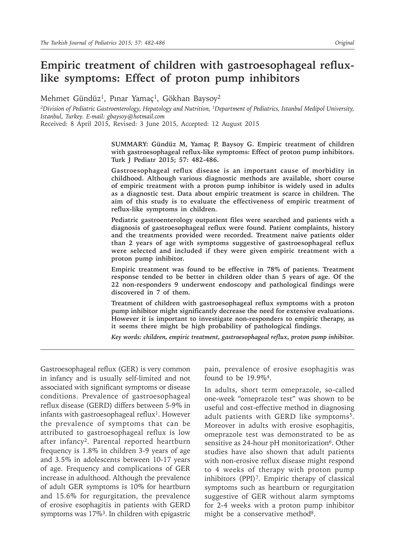# **Empiric treatment of children with gastroesophageal refluxlike symptoms: Effect of proton pump inhibitors**

Mehmet Gündüz<sup>1</sup>, Pınar Yamaç<sup>1</sup>, Gökhan Baysoy<sup>2</sup>

*<sup>2</sup>Division of Pediatric Gastroenterology, Hepatology and Nutrition, <sup>1</sup>Department of Pediatrics, Istanbul Medipol University, Istanbul, Turkey. E-mail: gbaysoy@hotmail.com*

Received: 8 April 2015, Revised: 3 June 2015, Accepted: 12 August 2015

**SUMMARY: Gündüz M, Yamaç P, Baysoy G. Empiric treatment of children with gastroesophageal reflux-like symptoms: Effect of proton pump inhibitors. Turk J Pediatr 2015; 57: 482-486.**

**Gastroesophageal reflux disease is an important cause of morbidity in childhood. Although various diagnostic methods are available, short course of empiric treatment with a proton pump inhibitor is widely used in adults as a diagnostic test. Data about empiric treatment is scarce in children. The aim of this study is to evaluate the effectiveness of empiric treatment of reflux-like symptoms in children.**

**Pediatric gastroenterology outpatient files were searched and patients with a diagnosis of gastroesophageal reflux were found. Patient complaints, history and the treatments provided were recorded. Treatment naive patients older than 2 years of age with symptoms suggestive of gastroesophageal reflux were selected and included if they were given empiric treatment with a proton pump inhibitor.** 

**Empiric treatment was found to be effective in 78% of patients. Treatment response tended to be better in children older than 5 years of age. Of the 22 non-responders 9 underwent endoscopy and pathological findings were discovered in 7 of them.** 

**Treatment of children with gastroesophageal reflux symptoms with a proton pump inhibitor might significantly decrease the need for extensive evaluations. However it is important to investigate non-responders to empiric therapy, as it seems there might be high probability of pathological findings.** 

*Key words: children, empiric treatment, gastroesophageal reflux, proton pump inhibitor.*

Gastroesophageal reflux (GER) is very common in infancy and is usually self-limited and not associated with significant symptoms or disease conditions. Prevalence of gastroesophageal reflux disease (GERD) differs between 5-9% in infants with gastroesophageal reflux<sup>1</sup>. However the prevalence of symptoms that can be attributed to gastroesophageal reflux is low after infancy<sup>2</sup>. Parental reported heartburn frequency is 1.8% in children 3-9 years of age and 3.5% in adolescents between 10-17 years of age. Frequency and complications of GER increase in adulthood. Although the prevalence of adult GER symptoms is 10% for heartburn and 15.6% for regurgitation, the prevalence of erosive esophagitis in patients with GERD symptoms was  $17\%$ <sup>3</sup>. In children with epigastric pain, prevalence of erosive esophagitis was found to be 19.9%<sup>4</sup>.

In adults, short term omeprazole, so-called one-week "omeprazole test" was shown to be useful and cost-effective method in diagnosing adult patients with GERD like symptoms<sup>5</sup>. Moreover in adults with erosive esophagitis, omeprazole test was demonstrated to be as sensitive as 24-hour pH monitorization<sup>6</sup>. Other studies have also shown that adult patients with non-erosive reflux disease might respond to 4 weeks of therapy with proton pump inhibitors (PPI)7. Empiric therapy of classical symptoms such as heartburn or regurgitation suggestive of GER without alarm symptoms for 2-4 weeks with a proton pump inhibitor might be a conservative method<sup>8</sup>.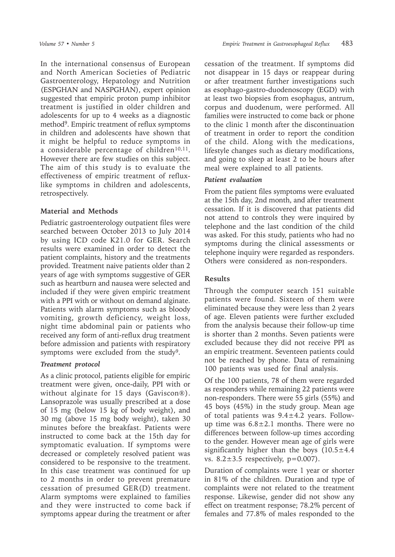In the international consensus of European and North American Societies of Pediatric Gastroenterology, Hepatology and Nutrition (ESPGHAN and NASPGHAN), expert opinion suggested that empiric proton pump inhibitor treatment is justified in older children and adolescents for up to 4 weeks as a diagnostic method<sup>9</sup>. Empiric treatment of reflux symptoms in children and adolescents have shown that it might be helpful to reduce symptoms in a considerable percentage of children $10,11$ . However there are few studies on this subject. The aim of this study is to evaluate the effectiveness of empiric treatment of refluxlike symptoms in children and adolescents, retrospectively.

### **Material and Methods**

Pediatric gastroenterology outpatient files were searched between October 2013 to July 2014 by using ICD code K21.0 for GER. Search results were examined in order to detect the patient complaints, history and the treatments provided. Treatment naive patients older than 2 years of age with symptoms suggestive of GER such as heartburn and nausea were selected and included if they were given empiric treatment with a PPI with or without on demand alginate. Patients with alarm symptoms such as bloody vomiting, growth deficiency, weight loss, night time abdominal pain or patients who received any form of anti-reflux drug treatment before admission and patients with respiratory symptoms were excluded from the study<sup>9</sup>.

#### *Treatment protocol*

As a clinic protocol, patients eligible for empiric treatment were given, once-daily, PPI with or without alginate for 15 days (Gaviscon®). Lansoprazole was usually prescribed at a dose of 15 mg (below 15 kg of body weight), and 30 mg (above 15 mg body weight), taken 30 minutes before the breakfast. Patients were instructed to come back at the 15th day for symptomatic evaluation. If symptoms were decreased or completely resolved patient was considered to be responsive to the treatment. In this case treatment was continued for up to 2 months in order to prevent premature cessation of presumed GER(D) treatment. Alarm symptoms were explained to families and they were instructed to come back if symptoms appear during the treatment or after

cessation of the treatment. If symptoms did not disappear in 15 days or reappear during or after treatment further investigations such as esophago-gastro-duodenoscopy (EGD) with at least two biopsies from esophagus, antrum, corpus and duodenum, were performed. All families were instructed to come back or phone to the clinic 1 month after the discontinuation of treatment in order to report the condition of the child. Along with the medications, lifestyle changes such as dietary modifications, and going to sleep at least 2 to be hours after meal were explained to all patients.

#### *Patient evaluation*

From the patient files symptoms were evaluated at the 15th day, 2nd month, and after treatment cessation. If it is discovered that patients did not attend to controls they were inquired by telephone and the last condition of the child was asked. For this study, patients who had no symptoms during the clinical assessments or telephone inquiry were regarded as responders. Others were considered as non-responders.

#### **Results**

Through the computer search 151 suitable patients were found. Sixteen of them were eliminated because they were less than 2 years of age. Eleven patients were further excluded from the analysis because their follow-up time is shorter than 2 months. Seven patients were excluded because they did not receive PPI as an empiric treatment. Seventeen patients could not be reached by phone. Data of remaining 100 patients was used for final analysis.

Of the 100 patients, 78 of them were regarded as responders while remaining 22 patients were non-responders. There were 55 girls (55%) and 45 boys (45%) in the study group. Mean age of total patients was 9.4±4.2 years. Followup time was  $6.8 \pm 2.1$  months. There were no differences between follow-up times according to the gender. However mean age of girls were significantly higher than the boys  $(10.5 \pm 4.4)$ vs.  $8.2 \pm 3.5$  respectively,  $p=0.007$ ).

Duration of complaints were 1 year or shorter in 81% of the children. Duration and type of complaints were not related to the treatment response. Likewise, gender did not show any effect on treatment response; 78.2% percent of females and 77.8% of males responded to the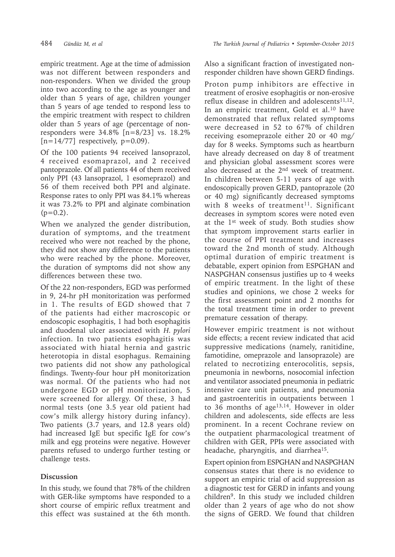empiric treatment. Age at the time of admission was not different between responders and non-responders. When we divided the group into two according to the age as younger and older than 5 years of age, children younger than 5 years of age tended to respond less to the empiric treatment with respect to children older than 5 years of age (percentage of nonresponders were  $34.8\%$  [n=8/23] vs. 18.2%  $[n=14/77]$  respectively,  $p=0.09$ ).

Of the 100 patients 94 received lansoprazol, 4 received esomaprazol, and 2 received pantoprazole. Of all patients 44 of them received only PPI (43 lansoprazol, 1 esomeprazol) and 56 of them received both PPI and alginate. Response rates to only PPI was 84.1% whereas it was 73.2% to PPI and alginate combination  $(p=0.2)$ .

When we analyzed the gender distribution, duration of symptoms, and the treatment received who were not reached by the phone, they did not show any difference to the patients who were reached by the phone. Moreover, the duration of symptoms did not show any differences between these two.

Of the 22 non-responders, EGD was performed in 9, 24-hr pH monitorization was performed in 1. The results of EGD showed that 7 of the patients had either macroscopic or endoscopic esophagitis, 1 had both esophagitis and duodenal ulcer associated with *H. pylori* infection. In two patients esophagitis was associated with hiatal hernia and gastric heterotopia in distal esophagus. Remaining two patients did not show any pathological findings. Twenty-four hour pH monitorization was normal. Of the patients who had not undergone EGD or pH monitorization, 5 were screened for allergy. Of these, 3 had normal tests (one 3.5 year old patient had cow's milk allergy history during infancy). Two patients (3.7 years, and 12.8 years old) had increased IgE but specific IgE for cow's milk and egg proteins were negative. However parents refused to undergo further testing or challenge tests.

## **Discussion**

In this study, we found that 78% of the children with GER-like symptoms have responded to a short course of empiric reflux treatment and this effect was sustained at the 6th month.

Also a significant fraction of investigated nonresponder children have shown GERD findings.

Proton pump inhibitors are effective in treatment of erosive esophagitis or non-erosive reflux disease in children and adolescents $11,12$ . In an empiric treatment, Gold et al.<sup>10</sup> have demonstrated that reflux related symptoms were decreased in 52 to 67% of children receiving esomeprazole either 20 or 40 mg/ day for 8 weeks. Symptoms such as heartburn have already decreased on day 8 of treatment and physician global assessment scores were also decreased at the 2<sup>nd</sup> week of treatment. In children between 5-11 years of age with endoscopically proven GERD, pantoprazole (20 or 40 mg) significantly decreased symptoms with 8 weeks of treatment<sup>11</sup>. Significant decreases in symptom scores were noted even at the 1st week of study. Both studies show that symptom improvement starts earlier in the course of PPI treatment and increases toward the 2nd month of study. Although optimal duration of empiric treatment is debatable, expert opinion from ESPGHAN and NASPGHAN consensus justifies up to 4 weeks of empiric treatment. In the light of these studies and opinions, we chose 2 weeks for the first assessment point and 2 months for the total treatment time in order to prevent premature cessation of therapy.

However empiric treatment is not without side effects; a recent review indicated that acid suppressive medications (namely, ranitidine, famotidine, omeprazole and lansoprazole) are related to necrotizing enterocolitis, sepsis, pneumonia in newborns, nosocomial infection and ventilator associated pneumonia in pediatric intensive care unit patients, and pneumonia and gastroenteritis in outpatients between 1 to 36 months of age<sup>13,14</sup>. However in older children and adolescents, side effects are less prominent. In a recent Cochrane review on the outpatient pharmacological treatment of children with GER, PPIs were associated with headache, pharyngitis, and diarrhea<sup>15</sup>.

Expert opinion from ESPGHAN and NASPGHAN consensus states that there is no evidence to support an empiric trial of acid suppression as a diagnostic test for GERD in infants and young children9. In this study we included children older than 2 years of age who do not show the signs of GERD. We found that children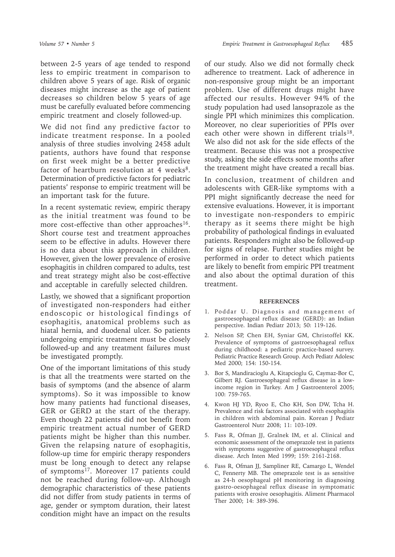between 2-5 years of age tended to respond less to empiric treatment in comparison to children above 5 years of age. Risk of organic diseases might increase as the age of patient decreases so children below 5 years of age must be carefully evaluated before commencing empiric treatment and closely followed-up.

We did not find any predictive factor to indicate treatment response. In a pooled analysis of three studies involving 2458 adult patients, authors have found that response on first week might be a better predictive factor of heartburn resolution at 4 weeks $8$ . Determination of predictive factors for pediatric patients' response to empiric treatment will be an important task for the future.

In a recent systematic review, empiric therapy as the initial treatment was found to be more cost-effective than other approaches<sup>16</sup>. Short course test and treatment approaches seem to be effective in adults. However there is no data about this approach in children. However, given the lower prevalence of erosive esophagitis in children compared to adults, test and treat strategy might also be cost-effective and acceptable in carefully selected children.

Lastly, we showed that a significant proportion of investigated non-responders had either endoscopic or histological findings of esophagitis, anatomical problems such as hiatal hernia, and duodenal ulcer. So patients undergoing empiric treatment must be closely followed-up and any treatment failures must be investigated promptly.

One of the important limitations of this study is that all the treatments were started on the basis of symptoms (and the absence of alarm symptoms). So it was impossible to know how many patients had functional diseases, GER or GERD at the start of the therapy. Even though 22 patients did not benefit from empiric treatment actual number of GERD patients might be higher than this number. Given the relapsing nature of esophagitis, follow-up time for empiric therapy responders must be long enough to detect any relapse of symptoms<sup>17</sup>. Moreover 17 patients could not be reached during follow-up. Although demographic characteristics of these patients did not differ from study patients in terms of age, gender or symptom duration, their latest condition might have an impact on the results

of our study. Also we did not formally check adherence to treatment. Lack of adherence in non-responsive group might be an important problem. Use of different drugs might have affected our results. However 94% of the study population had used lansoprazole as the single PPI which minimizes this complication. Moreover, no clear superiorities of PPIs over each other were shown in different trials<sup>18</sup>. We also did not ask for the side effects of the treatment. Because this was not a prospective study, asking the side effects some months after the treatment might have created a recall bias.

In conclusion, treatment of children and adolescents with GER-like symptoms with a PPI might significantly decrease the need for extensive evaluations. However, it is important to investigate non-responders to empiric therapy as it seems there might be high probability of pathological findings in evaluated patients. Responders might also be followed-up for signs of relapse. Further studies might be performed in order to detect which patients are likely to benefit from empiric PPI treatment and also about the optimal duration of this treatment.

#### **REFERENCES**

- 1. Poddar U. Diagnosis and management of gastroesophageal reflux disease (GERD): an Indian perspective. Indian Pediatr 2013; 50: 119-126.
- 2. Nelson SP, Chen EH, Syniar GM, Christoffel KK. Prevalence of symptoms of gastroesophageal reflux during childhood: a pediatric practice-based survey. Pediatric Practice Research Group. Arch Pediatr Adolesc Med 2000; 154: 150-154.
- 3. Bor S, Mandiracioglu A, Kitapcioglu G, Caymaz-Bor C, Gilbert RJ. Gastroesophageal reflux disease in a lowincome region in Turkey. Am J Gastroenterol 2005; 100: 759-765.
- 4. Kwon HJ YD, Ryoo E, Cho KH, Son DW, Tcha H. Prevalence and risk factors associated with esophagitis in children with abdominal pain. Korean J Pediatr Gastroenterol Nutr 2008; 11: 103-109.
- 5. Fass R, Ofman JJ, Gralnek IM, et al. Clinical and economic assessment of the omeprazole test in patients with symptoms suggestive of gastroesophageal reflux disease. Arch Inten Med 1999; 159: 2161-2168.
- 6. Fass R, Ofman JJ, Sampliner RE, Camargo L, Wendel C, Fennerty MB. The omeprazole test is as sensitive as 24-h oesophageal pH monitoring in diagnosing gastro-oesophageal reflux disease in symptomatic patients with erosive oesophagitis. Aliment Pharmacol Ther 2000; 14: 389-396.